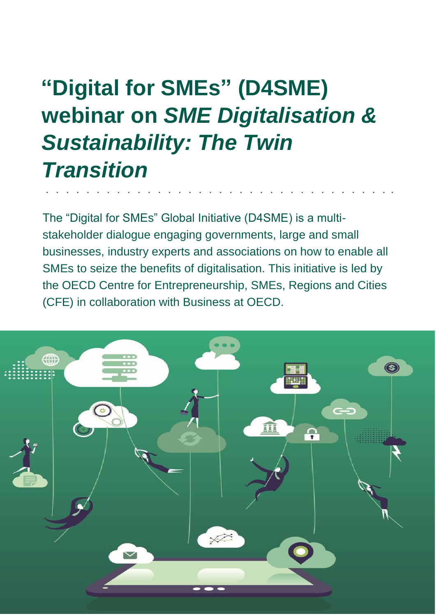# **"Digital for SMEs" (D4SME) webinar on** *SME Digitalisation & Sustainability: The Twin Transition*

The "Digital for SMEs" Global Initiative (D4SME) is a multistakeholder dialogue engaging governments, large and small businesses, industry experts and associations on how to enable all SMEs to seize the benefits of digitalisation. This initiative is led by the OECD Centre for Entrepreneurship, SMEs, Regions and Cities (CFE) in collaboration with Business at OECD.

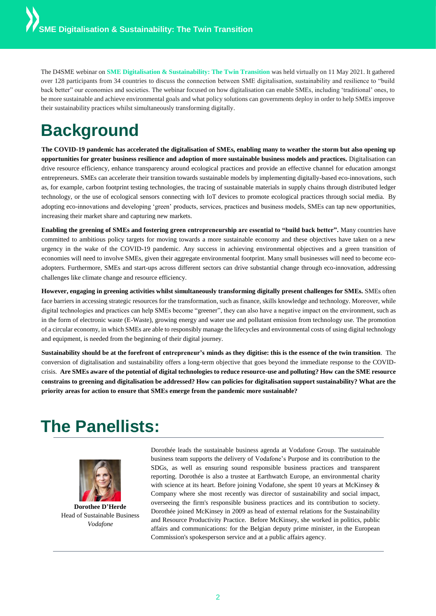The D4SME webinar on **SME Digitalisation & Sustainability: The Twin Transition** was held virtually on 11 May 2021. It gathered over 128 participants from 34 countries to discuss the connection between SME digitalisation, sustainability and resilience to "build back better" our economies and societies. The webinar focused on how digitalisation can enable SMEs, including 'traditional' ones, to be more sustainable and achieve environmental goals and what policy solutions can governments deploy in order to help SMEs improve their sustainability practices whilst simultaneously transforming digitally.

## **Background**

**The COVID-19 pandemic has accelerated the digitalisation of SMEs, enabling many to weather the storm but also opening up opportunities for greater business resilience and adoption of more sustainable business models and practices.** Digitalisation can drive resource efficiency, enhance transparency around ecological practices and provide an effective channel for education amongst entrepreneurs. SMEs can accelerate their transition towards sustainable models by implementing digitally-based eco-innovations, such as, for example, carbon footprint testing technologies, the tracing of sustainable materials in supply chains through distributed ledger technology, or the use of ecological sensors connecting with IoT devices to promote ecological practices through social media. By adopting eco-innovations and developing 'green' products, services, practices and business models, SMEs can tap new opportunities, increasing their market share and capturing new markets.

**Enabling the greening of SMEs and fostering green entrepreneurship are essential to "build back better".** Many countries have committed to ambitious policy targets for moving towards a more sustainable economy and these objectives have taken on a new urgency in the wake of the COVID-19 pandemic. Any success in achieving environmental objectives and a green transition of economies will need to involve SMEs, given their aggregate environmental footprint. Many small businesses will need to become ecoadopters. Furthermore, SMEs and start-ups across different sectors can drive substantial change through eco-innovation, addressing challenges like climate change and resource efficiency.

**However, engaging in greening activities whilst simultaneously transforming digitally present challenges for SMEs.** SMEs often face barriers in accessing strategic resources for the transformation, such as finance, skills knowledge and technology. Moreover, while digital technologies and practices can help SMEs become "greener", they can also have a negative impact on the environment, such as in the form of electronic waste (E-Waste), growing energy and water use and pollutant emission from technology use. The promotion of a circular economy, in which SMEs are able to responsibly manage the lifecycles and environmental costs of using digital technology and equipment, is needed from the beginning of their digital journey.

**Sustainability should be at the forefront of entrepreneur's minds as they digitise: this is the essence of the twin transition**. The conversion of digitalisation and sustainability offers a long-term objective that goes beyond the immediate response to the COVIDcrisis. **Are SMEs aware of the potential of digital technologies to reduce resource-use and polluting? How can the SME resource constrains to greening and digitalisation be addressed? How can policies for digitalisation support sustainability? What are the priority areas for action to ensure that SMEs emerge from the pandemic more sustainable?**

## **The Panellists:**



**Dorothee D'Herde** Head of Sustainable Business *Vodafone*

Dorothée leads the sustainable business agenda at Vodafone Group. The sustainable business team supports the delivery of Vodafone's Purpose and its contribution to the SDGs, as well as ensuring sound responsible business practices and transparent reporting. Dorothée is also a trustee at Earthwatch Europe, an environmental charity with science at its heart. Before joining Vodafone, she spent 10 years at McKinsey & Company where she most recently was director of sustainability and social impact, overseeing the firm's responsible business practices and its contribution to society. Dorothée joined McKinsey in 2009 as head of external relations for the Sustainability and Resource Productivity Practice. Before McKinsey, she worked in politics, public affairs and communications: for the Belgian deputy prime minister, in the European Commission's spokesperson service and at a public affairs agency.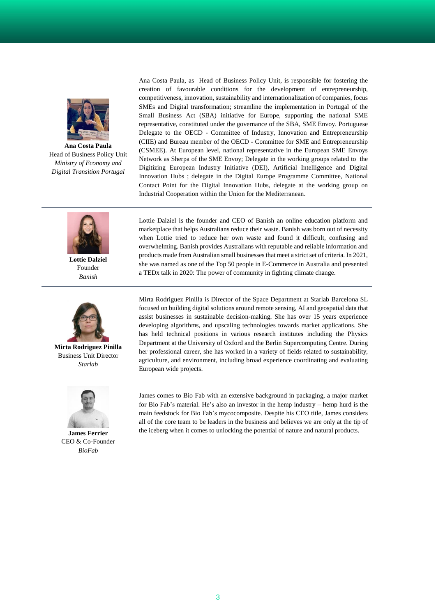

**Ana Costa Paula** Head of Business Policy Unit *Ministry of Economy and Digital Transition Portugal*

Ana Costa Paula, as Head of Business Policy Unit, is responsible for fostering the creation of favourable conditions for the development of entrepreneurship, competitiveness, innovation, sustainability and internationalization of companies, focus SMEs and Digital transformation; streamline the implementation in Portugal of the Small Business Act (SBA) initiative for Europe, supporting the national SME representative, constituted under the governance of the SBA, SME Envoy. Portuguese Delegate to the OECD - Committee of Industry, Innovation and Entrepreneurship (CIIE) and Bureau member of the OECD - Committee for SME and Entrepreneurship (CSMEE). At European level, national representative in the European SME Envoys Network as Sherpa of the SME Envoy; Delegate in the working groups related to the Digitizing European Industry Initiative (DEI), Artificial Intelligence and Digital Innovation Hubs ; delegate in the Digital Europe Programme Committee, National Contact Point for the Digital Innovation Hubs, delegate at the working group on Industrial Cooperation within the Union for the Mediterranean.



**Lottie Dalziel** Founder *Banish*



**Mirta Rodriguez Pinilla** Business Unit Director *Starlab*



**James Ferrier** CEO & Co-Founder *BioFab*

Lottie Dalziel is the founder and CEO of Banish an online education platform and marketplace that helps Australians reduce their waste. Banish was born out of necessity when Lottie tried to reduce her own waste and found it difficult, confusing and overwhelming. Banish provides Australians with reputable and reliable information and products made from Australian small businesses that meet a strict set of criteria. In 2021, she was named as one of the Top 50 people in E-Commerce in Australia and presented a TEDx talk in 2020: The power of community in fighting climate change.

Mirta Rodriguez Pinilla is Director of the Space Department at Starlab Barcelona SL focused on building digital solutions around remote sensing, AI and geospatial data that assist businesses in sustainable decision-making. She has over 15 years experience developing algorithms, and upscaling technologies towards market applications. She has held technical positions in various research institutes including the Physics Department at the University of Oxford and the Berlin Supercomputing Centre. During her professional career, she has worked in a variety of fields related to sustainability, agriculture, and environment, including broad experience coordinating and evaluating European wide projects.

James comes to Bio Fab with an extensive background in packaging, a major market for Bio Fab's material. He's also an investor in the hemp industry – hemp hurd is the main feedstock for Bio Fab's mycocomposite. Despite his CEO title, James considers all of the core team to be leaders in the business and believes we are only at the tip of the iceberg when it comes to unlocking the potential of nature and natural products.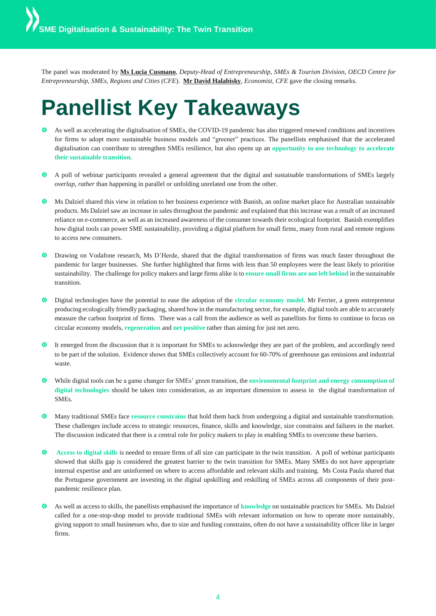The panel was moderated by **Ms Lucia Cusmano**, *Deputy-Head of Entrepreneurship, SMEs & Tourism Division, OECD Centre for Entrepreneurship, SMEs, Regions and Cities (CFE*). **Mr David Halabisky**, *Economist, CFE* gave the closing remarks.

## **Panellist Key Takeaways**

- As well as accelerating the digitalisation of SMEs, the COVID-19 pandemic has also triggered renewed conditions and incentives for firms to adopt more sustainable business models and "greener" practices. The panellists emphasised that the accelerated digitalisation can contribute to strengthen SMEs resilience, but also opens up an **opportunity to use technology to accelerate their sustainable transition.**
- A poll of webinar participants revealed a general agreement that the digital and sustainable transformations of SMEs largely *overlap, rather* than happening in parallel or unfolding unrelated one from the other.
- Ms Dalziel shared this view in relation to her business experience with Banish, an online market place for Australian sustainable products. Ms Dalziel saw an increase in sales throughout the pandemic and explained that this increase was a result of an increased reliance on e-commerce, as well as an increased awareness of the consumer towards their ecological footprint. Banish exemplifies how digital tools can power SME sustainability, providing a digital platform for small firms, many from rural and remote regions to access new consumers.
- Drawing on Vodafone research, Ms D'Herde, shared that the digital transformation of firms was much faster throughout the pandemic for larger businesses. She further highlighted that firms with less than 50 employees were the least likely to prioritise sustainability. The challenge for policy makers and large firms alike is to **ensure small firms are not left behind** in the sustainable transition.
- Digital technologies have the potential to ease the adoption of the **circular economy model**. Mr Ferrier, a green entrepreneur producing ecologically friendly packaging, shared how in the manufacturing sector, for example, digital tools are able to accurately measure the carbon footprint of firms. There was a call from the audience as well as panellists for firms to continue to focus on circular economy models, **regeneration** and **net positive** rather than aiming for just net zero.
- It emerged from the discussion that it is important for SMEs to acknowledge they are part of the problem, and accordingly need to be part of the solution. Evidence shows that SMEs collectively account for 60-70% of greenhouse gas emissions and industrial waste.
- While digital tools can be a game changer for SMEs' green transition, the **environmental footprint and energy consumption of digital technologies** should be taken into consideration, as an important dimension to assess in the digital transformation of SMEs.
- Many traditional SMEs face **resource constrains** that hold them back from undergoing a digital and sustainable transformation. These challenges include access to strategic resources, finance, skills and knowledge, size constrains and failures in the market. The discussion indicated that there is a central role for policy makers to play in enabling SMEs to overcome these barriers.
- **O** Access to digital skills is needed to ensure firms of all size can participate in the twin transition. A poll of webinar participants showed that skills gap is considered the greatest barrier to the twin transition for SMEs. Many SMEs do not have appropriate internal expertise and are uninformed on where to access affordable and relevant skills and training. Ms Costa Paula shared that the Portuguese government are investing in the digital upskilling and reskilling of SMEs across all components of their postpandemic resilience plan.
- As well as access to skills, the panellists emphasised the importance of **knowledge** on sustainable practices for SMEs. Ms Dalziel called for a one-stop-shop model to provide traditional SMEs with relevant information on how to operate more sustainably, giving support to small businesses who, due to size and funding constrains, often do not have a sustainability officer like in larger firms.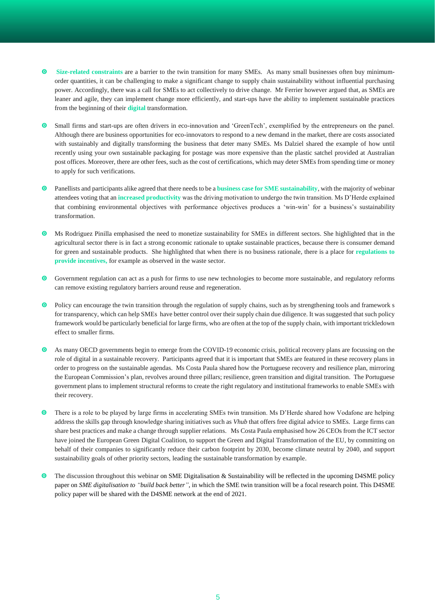- **Size-related constraints** are a barrier to the twin transition for many SMEs. As many small businesses often buy minimumorder quantities, it can be challenging to make a significant change to supply chain sustainability without influential purchasing power. Accordingly, there was a call for SMEs to act collectively to drive change. Mr Ferrier however argued that, as SMEs are leaner and agile, they can implement change more efficiently, and start-ups have the ability to implement sustainable practices from the beginning of their **digital** transformation.
- Small firms and start-ups are often drivers in eco-innovation and 'GreenTech', exemplified by the entrepreneurs on the panel. Although there are business opportunities for eco-innovators to respond to a new demand in the market, there are costs associated with sustainably and digitally transforming the business that deter many SMEs. Ms Dalziel shared the example of how until recently using your own sustainable packaging for postage was more expensive than the plastic satchel provided at Australian post offices. Moreover, there are other fees, such as the cost of certifications, which may deter SMEs from spending time or money to apply for such verifications.
- Panellists and participants alike agreed that there needs to be a **business case for SME sustainability**, with the majority of webinar attendees voting that an **increased productivity** was the driving motivation to undergo the twin transition. Ms D'Herde explained that combining environmental objectives with performance objectives produces a 'win-win' for a business's sustainability transformation.
- Ms Rodriguez Pinilla emphasised the need to monetize sustainability for SMEs in different sectors. She highlighted that in the agricultural sector there is in fact a strong economic rationale to uptake sustainable practices, because there is consumer demand for green and sustainable products. She highlighted that when there is no business rationale, there is a place for **regulations to provide incentives,** for example as observed in the waste sector.
- Government regulation can act as a push for firms to use new technologies to become more sustainable, and regulatory reforms can remove existing regulatory barriers around reuse and regeneration.
- Policy can encourage the twin transition through the regulation of supply chains, such as by strengthening tools and framework s for transparency, which can help SMEs have better control over their supply chain due diligence. It was suggested that such policy framework would be particularly beneficial for large firms, who are often at the top of the supply chain, with important trickledown effect to smaller firms.
- As many OECD governments begin to emerge from the COVID-19 economic crisis, political recovery plans are focussing on the role of digital in a sustainable recovery. Participants agreed that it is important that SMEs are featured in these recovery plans in order to progress on the sustainable agendas. Ms Costa Paula shared how the Portuguese recovery and resilience plan, mirroring the European Commission's plan, revolves around three pillars; resilience, green transition and digital transition. The Portuguese government plans to implement structural reforms to create the right regulatory and institutional frameworks to enable SMEs with their recovery.
- There is a role to be played by large firms in accelerating SMEs twin transition. Ms D'Herde shared how Vodafone are helping address the skills gap through knowledge sharing initiatives such as *Vhub* that offers free digital advice to SMEs. Large firms can share best practices and make a change through supplier relations. Ms Costa Paula emphasised how 26 CEOs from the ICT sector have joined the European Green Digital Coalition, to support the Green and Digital Transformation of the EU, by committing on behalf of their companies to significantly reduce their carbon footprint by 2030, become climate neutral by 2040, and support sustainability goals of other priority sectors, leading the sustainable transformation by example.
- The discussion throughout this webinar on SME Digitalisation & Sustainability will be reflected in the upcoming D4SME policy paper on *SME digitalisation to "build back better",* in which the SME twin transition will be a focal research point. This D4SME policy paper will be shared with the D4SME network at the end of 2021.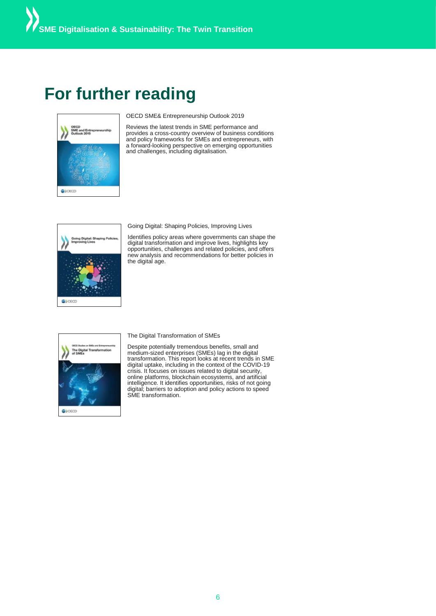### **For further reading**



OECD SME& Entrepreneurship Outlook 2019

Reviews the latest trends in SME performance and provides a cross-country overview of business conditions and policy frameworks for SMEs and entrepreneurs, with a forward-looking perspective on emerging opportunities and challenges, including digitalisation.



Going Digital: Shaping Policies, Improving Lives

Identifies policy areas where governments can shape the digital transformation and improve lives, highlights key opportunities, challenges and related policies, and offers new analysis and recommendations for better policies in the digital age.



Despite potentially tremendous benefits, small and medium-sized enterprises (SMEs) lag in the digital transformation. This report looks at recent trends in SME digital uptake, including in the context of the COVID-19 crisis. It focuses on issues related to digital security, online platforms, blockchain ecosystems, and artificial intelligence. It identifies opportunities, risks of not going digital; barriers to adoption and policy actions to speed SME transformation.

The Digital Transformation of SMEs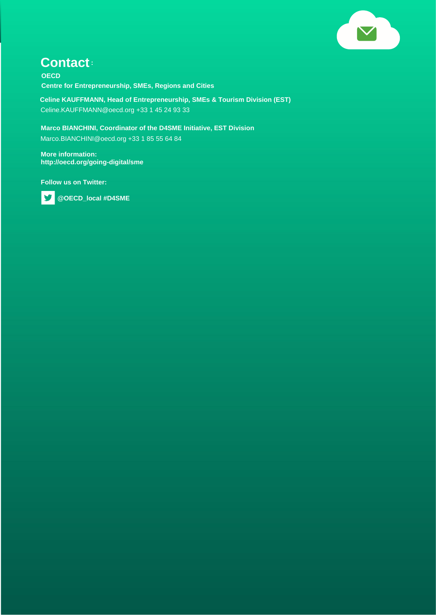

#### **Contact:**

**OECD Centre for Entrepreneurship, SMEs, Regions and Cities**

**Celine KAUFFMANN, Head of Entrepreneurship, SMEs & Tourism Division (EST)** Celine.KAUFFMANN@oecd.org +33 1 45 24 93 33

**Marco BIANCHINI, Coordinator of the D4SME Initiative, EST Division** Marco.BIANCHINI@oecd.org +33 1 85 55 64 84

**More information: http://oecd.org/going-digital/sme**

**Follow us on Twitter:**